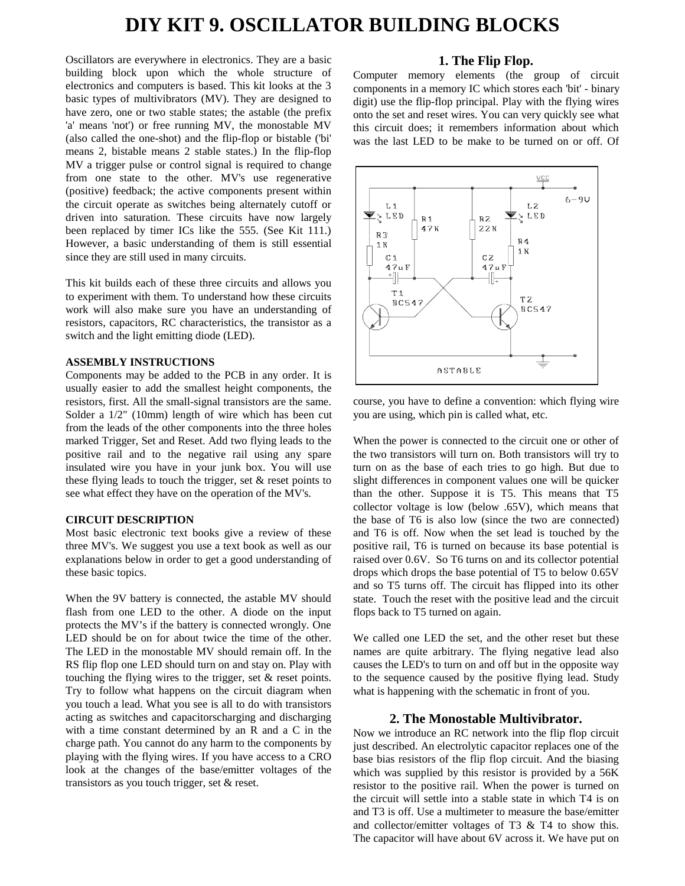# **DIY KIT 9. OSCILLATOR BUILDING BLOCKS**

Oscillators are everywhere in electronics. They are a basic building block upon which the whole structure of electronics and computers is based. This kit looks at the 3 basic types of multivibrators (MV). They are designed to have zero, one or two stable states; the astable (the prefix 'a' means 'not') or free running MV, the monostable MV (also called the one-shot) and the flip-flop or bistable ('bi' means 2, bistable means 2 stable states.) In the flip-flop MV a trigger pulse or control signal is required to change from one state to the other. MV's use regenerative (positive) feedback; the active components present within the circuit operate as switches being alternately cutoff or driven into saturation. These circuits have now largely been replaced by timer ICs like the 555. (See Kit 111.) However, a basic understanding of them is still essential since they are still used in many circuits.

This kit builds each of these three circuits and allows you to experiment with them. To understand how these circuits work will also make sure you have an understanding of resistors, capacitors, RC characteristics, the transistor as a switch and the light emitting diode (LED).

#### **ASSEMBLY INSTRUCTIONS**

Components may be added to the PCB in any order. It is usually easier to add the smallest height components, the resistors, first. All the small-signal transistors are the same. Solder a 1/2" (10mm) length of wire which has been cut from the leads of the other components into the three holes marked Trigger, Set and Reset. Add two flying leads to the positive rail and to the negative rail using any spare insulated wire you have in your junk box. You will use these flying leads to touch the trigger, set & reset points to see what effect they have on the operation of the MV's.

#### **CIRCUIT DESCRIPTION**

Most basic electronic text books give a review of these three MV's. We suggest you use a text book as well as our explanations below in order to get a good understanding of these basic topics.

When the 9V battery is connected, the astable MV should flash from one LED to the other. A diode on the input protects the MV's if the battery is connected wrongly. One LED should be on for about twice the time of the other. The LED in the monostable MV should remain off. In the RS flip flop one LED should turn on and stay on. Play with touching the flying wires to the trigger, set & reset points. Try to follow what happens on the circuit diagram when you touch a lead. What you see is all to do with transistors acting as switches and capacitorscharging and discharging with a time constant determined by an R and a C in the charge path. You cannot do any harm to the components by playing with the flying wires. If you have access to a CRO look at the changes of the base/emitter voltages of the transistors as you touch trigger, set & reset.

## **1. The Flip Flop.**

Computer memory elements (the group of circuit components in a memory IC which stores each 'bit' - binary digit) use the flip-flop principal. Play with the flying wires onto the set and reset wires. You can very quickly see what this circuit does; it remembers information about which was the last LED to be make to be turned on or off. Of



course, you have to define a convention: which flying wire you are using, which pin is called what, etc.

When the power is connected to the circuit one or other of the two transistors will turn on. Both transistors will try to turn on as the base of each tries to go high. But due to slight differences in component values one will be quicker than the other. Suppose it is T5. This means that T5 collector voltage is low (below .65V), which means that the base of T6 is also low (since the two are connected) and T6 is off. Now when the set lead is touched by the positive rail, T6 is turned on because its base potential is raised over 0.6V. So T6 turns on and its collector potential drops which drops the base potential of T5 to below 0.65V and so T5 turns off. The circuit has flipped into its other state. Touch the reset with the positive lead and the circuit flops back to T5 turned on again.

We called one LED the set, and the other reset but these names are quite arbitrary. The flying negative lead also causes the LED's to turn on and off but in the opposite way to the sequence caused by the positive flying lead. Study what is happening with the schematic in front of you.

### **2. The Monostable Multivibrator.**

Now we introduce an RC network into the flip flop circuit just described. An electrolytic capacitor replaces one of the base bias resistors of the flip flop circuit. And the biasing which was supplied by this resistor is provided by a 56K resistor to the positive rail. When the power is turned on the circuit will settle into a stable state in which T4 is on and T3 is off. Use a multimeter to measure the base/emitter and collector/emitter voltages of T3 & T4 to show this. The capacitor will have about 6V across it. We have put on